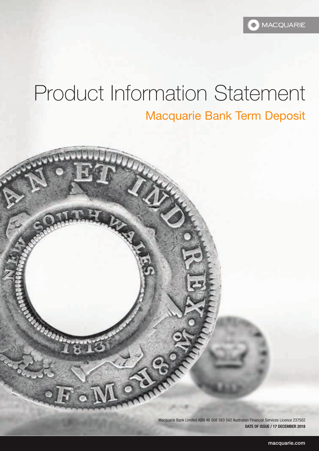# Product Information Statement Macquarie Bank Term Deposit

 $\mathcal{C}$ 

Macquarie Bank Limited ABN 46 008 583 542 Australian Financial Services Licence 237502 **DATE OF ISSUE / 17 DECEMBER 2018**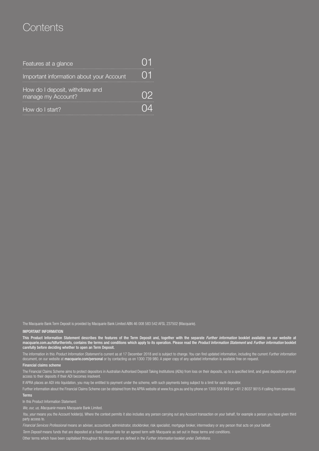## **Contents**

| Features at a glance                                 |  |
|------------------------------------------------------|--|
| Important information about your Account             |  |
| How do I deposit, withdraw and<br>manage my Account? |  |
| How do I start?                                      |  |

The Macquarie Bank Term Deposit is provided by Macquarie Bank Limited ABN 46 008 583 542 AFSL 237502 (Macquarie).

#### IMPORTANT INFORMATION

This Product Information Statement describes the features of the Term Deposit and, together with the separate *Further information* booklet available on our website at [macquarie.com.au/tdfurtherinfo,](macquarie.com.au/tdfurtherinfo) contains the terms and conditions which apply to its operation. Please read the *Product Information Statement* and *Further information* booklet carefully before deciding whether to open an Term Deposit.

The information in this *Product Information Statement* is current as at 17 December 2018 and is subject to change. You can find updated information, including the current *Further information* document, on our website at [macquarie.com/personal](www.macquarie.com/personal) or by contacting us on 1300 739 980. A paper copy of any updated information is available free on request.

#### Financial claims scheme

The Financial Claims Scheme aims to protect depositors in Australian Authorised Deposit Taking Institutions (ADIs) from loss on their deposits, up to a specified limit, and gives depositors prompt access to their deposits if their ADI becomes insolvent.

If APRA places an ADI into liquidation, you may be entitled to payment under the scheme, with such payments being subject to a limit for each depositor.

Further information about the Financial Claims Scheme can be obtained from the APRA website at www.fcs.gov.au and by phone on 1300 558 849 (or +61 2 8037 9015 if calling from overseas).

#### Terms

In this Product Information Statement:

*We, our, us, Macquarie* means Macquarie Bank Limited.

You, your means you the Account holder(s). Where the context permits it also includes any person carrying out any Account transaction on your behalf, for example a person you have given third party access to.

*Financial Services Professional* means an adviser, accountant, administrator, stockbroker, risk specialist, mortgage broker, intermediary or any person that acts on your behalf.

*Term Deposit* means funds that are deposited at a fixed interest rate for an agreed term with Macquarie as set out in these terms and conditions.

Other terms which have been capitalised throughout this document are defined in the *Further Information* booklet under *Definitions.*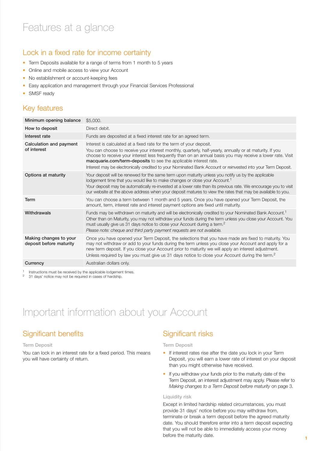## Lock in a fixed rate for income certainty

- Term Deposits available for a range of terms from 1 month to 5 years
- Online and mobile access to view your Account
- No establishment or account-keeping fees
- Easy application and management through your Financial Services Professional
- SMSF ready

### Key features

| Minimum opening balance                           | \$5,000.                                                                                                                                                                                                                                                                                                                                                                                                                                                                            |
|---------------------------------------------------|-------------------------------------------------------------------------------------------------------------------------------------------------------------------------------------------------------------------------------------------------------------------------------------------------------------------------------------------------------------------------------------------------------------------------------------------------------------------------------------|
| How to deposit                                    | Direct debit.                                                                                                                                                                                                                                                                                                                                                                                                                                                                       |
| Interest rate                                     | Funds are deposited at a fixed interest rate for an agreed term.                                                                                                                                                                                                                                                                                                                                                                                                                    |
| Calculation and payment<br>of interest            | Interest is calculated at a fixed rate for the term of your deposit.<br>You can choose to receive your interest monthly, quarterly, half-yearly, annually or at maturity. If you<br>choose to receive your interest less frequently than on an annual basis you may receive a lower rate. Visit<br>macquarie.com/term-deposits to see the applicable interest rate.<br>Interest may be electronically credited to your Nominated Bank Account or reinvested into your Term Deposit. |
| Options at maturity                               | Your deposit will be renewed for the same term upon maturity unless you notify us by the applicable<br>lodgement time that you would like to make changes or close your Account. <sup>1</sup><br>Your deposit may be automatically re-invested at a lower rate than its previous rate. We encourage you to visit<br>our website at the above address when your deposit matures to view the rates that may be available to you.                                                      |
| Term                                              | You can choose a term between 1 month and 5 years. Once you have opened your Term Deposit, the<br>amount, term, interest rate and interest payment options are fixed until maturity.                                                                                                                                                                                                                                                                                                |
| Withdrawals                                       | Funds may be withdrawn on maturity and will be electronically credited to your Nominated Bank Account. <sup>1</sup><br>Other than on Maturity, you may not withdraw your funds during the term unless you close your Account. You<br>must usually give us 31 days notice to close your Account during a term. <sup>2</sup><br>Please note: cheque and third party payment requests are not available.                                                                               |
| Making changes to your<br>deposit before maturity | Once you have opened your Term Deposit, the selections that you have made are fixed to maturity. You<br>may not withdraw or add to your funds during the term unless you close your Account and apply for a<br>new term deposit. If you close your Account prior to maturity we will apply an interest adjustment.<br>Unless required by law you must give us 31 days notice to close your Account during the term. <sup>2</sup>                                                    |
| Currency                                          | Australian dollars only.                                                                                                                                                                                                                                                                                                                                                                                                                                                            |
|                                                   |                                                                                                                                                                                                                                                                                                                                                                                                                                                                                     |

<sup>1</sup> Instructions must be received by the applicable lodgement times.<br><sup>2</sup> 31 days' notice may not be required in cases of hardship.

## Important information about your Account

## Significant benefits

#### Term Deposit

You can lock in an interest rate for a fixed period. This means you will have certainty of return.

## Significant risks

#### Term Deposit

- If interest rates rise after the date you lock in your Term Deposit, you will earn a lower rate of interest on your deposit than you might otherwise have received.
- If you withdraw your funds prior to the maturity date of the Term Deposit, an interest adjustment may apply. Please refer to *Making changes to a Term Deposit before maturity* on page 3.

#### Liquidity risk

Except in limited hardship related circumstances, you must provide 31 days' notice before you may withdraw from, terminate or break a term deposit before the agreed maturity date. You should therefore enter into a term deposit expecting that you will not be able to immediately access your money before the maturity date.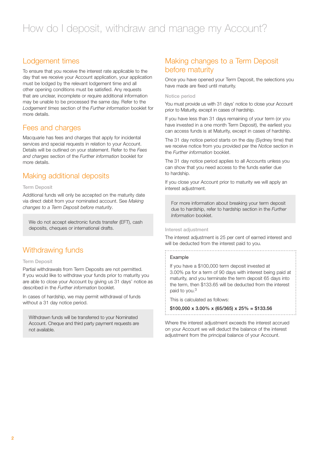## Lodgement times

To ensure that you receive the interest rate applicable to the day that we receive your Account application, your application must be lodged by the relevant lodgement time and all other opening conditions must be satisfied. Any requests that are unclear, incomplete or require additional information may be unable to be processed the same day. Refer to the *Lodgement times* section of the *Further information* booklet for more details.

#### Fees and charges

Macquarie has fees and charges that apply for incidental services and special requests in relation to your Account. Details will be outlined on your statement. Refer to the *Fees and charges* section of the *Further information* booklet for more details.

## Making additional deposits

#### Term Deposit

Additional funds will only be accepted on the maturity date via direct debit from your nominated account. See *Making changes to a Term Deposit before maturity*.

We do not accept electronic funds transfer (EFT), cash deposits, cheques or international drafts.

## Withdrawing funds

#### Term Deposit

Partial withdrawals from Term Deposits are not permitted. If you would like to withdraw your funds prior to maturity you are able to close your Account by giving us 31 days' notice as described in the *Further information* booklet.

In cases of hardship, we may permit withdrawal of funds without a 31 day notice period.

Withdrawn funds will be transferred to your Nominated Account. Cheque and third party payment requests are not available.

## Making changes to a Term Deposit before maturity

Once you have opened your Term Deposit, the selections you have made are fixed until maturity.

#### Notice period

You must provide us with 31 days' notice to close your Account prior to Maturity, except in cases of hardship.

If you have less than 31 days remaining of your term (or you have invested in a one month Term Deposit), the earliest you can access funds is at Maturity, except in cases of hardship.

The 31 day notice period starts on the day (Sydney time) that we receive notice from you provided per the *Notice* section in the *Further information* booklet.

The 31 day notice period applies to all Accounts unless you can show that you need access to the funds earlier due to hardship.

If you close your Account prior to maturity we will apply an interest adjustment.

For more information about breaking your term deposit due to hardship, refer to hardship section in the *Further Information* booklet.

#### Interest adjustment

The interest adjustment is 25 per cent of earned interest and will be deducted from the interest paid to you.

#### 

#### Example

If you have a \$100,000 term deposit invested at 3.00% pa for a term of 90 days with interest being paid at maturity, and you terminate the term deposit 65 days into the term, then \$133.65 will be deducted from the interest paid to you.3

This is calculated as follows:

 $$100,000 \times 3,00\% \times (65/365) \times 25\% = $133.56$ 

Where the interest adjustment exceeds the interest accrued on your Account we will deduct the balance of the interest adjustment from the principal balance of your Account.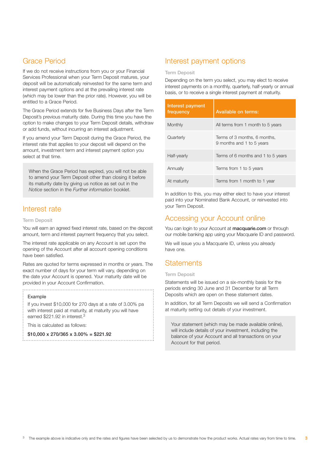## Grace Period

If we do not receive instructions from you or your Financial Services Professional when your Term Deposit matures, your deposit will be automatically reinvested for the same term and interest payment options and at the prevailing interest rate (which may be lower than the prior rate). However, you will be entitled to a Grace Period.

The Grace Period extends for five Business Days after the Term Deposit's previous maturity date. During this time you have the option to make changes to your Term Deposit details, withdraw or add funds, without incurring an interest adjustment.

If you amend your Term Deposit during the Grace Period, the interest rate that applies to your deposit will depend on the amount, investment term and interest payment option you select at that time.

When the Grace Period has expired, you will not be able to amend your Term Deposit other than closing it before its maturity date by giving us notice as set out in the *Notice* section in the *Further information* booklet.

#### Interest rate

#### Term Deposit

You will earn an agreed fixed interest rate, based on the deposit amount, term and interest payment frequency that you select.

The interest rate applicable on any Account is set upon the opening of the Account after all account opening conditions have been satisfied.

Rates are quoted for terms expressed in months or years. The exact number of days for your term will vary, depending on the date your Account is opened. Your maturity date will be provided in your Account Confirmation.

#### Example

If you invest \$10,000 for 270 days at a rate of 3.00% pa with interest paid at maturity, at maturity you will have earned \$221.92 in interest.3

This is calculated as follows:

 $$10,000 \times 270/365 \times 3.00\% = $221.92$ 

## Interest payment options

#### Term Deposit

Depending on the term you select, you may elect to receive interest payments on a monthly, quarterly, half-yearly or annual basis, or to receive a single interest payment at maturity.

| Interest payment<br>frequency | Available on terms:                                       |
|-------------------------------|-----------------------------------------------------------|
| Monthly                       | All terms from 1 month to 5 years                         |
| Quarterly                     | Terms of 3 months, 6 months,<br>9 months and 1 to 5 years |
| Half-yearly                   | Terms of 6 months and 1 to 5 years                        |
| Annually                      | Terms from 1 to 5 years                                   |
| At maturity                   | Terms from 1 month to 1 year                              |

In addition to this, you may either elect to have your interest paid into your Nominated Bank Account, or reinvested into your Term Deposit.

## Accessing your Account online

You can login to your Account at [macquarie.com](www.macquarie.com) or through our mobile banking app using your Macquarie ID and password.

We will issue you a Macquarie ID, unless you already have one.

#### **Statements**

#### Term Deposit

Statements will be issued on a six-monthly basis for the periods ending 30 June and 31 December for all Term Deposits which are open on these statement dates.

In addition, for all Term Deposits we will send a Confirmation at maturity setting out details of your investment.

Your statement (which may be made available online), will include details of your investment, including the balance of your Account and all transactions on your Account for that period.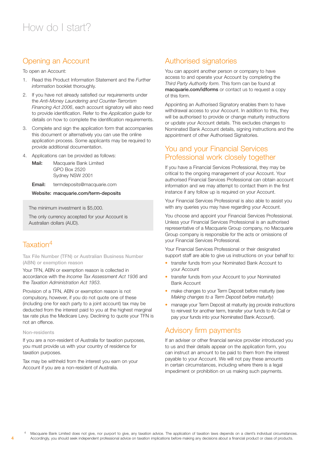## Opening an Account

To open an Account:

- 1. Read this Product Information Statement and the *Further information* booklet thoroughly.
- 2. If you have not already satisfied our requirements under the *Anti-Money Laundering and Counter-Terrorism Financing Act 2006*, each account signatory will also need to provide identification. Refer to the *Application guide* for details on how to complete the identification requirements.
- 3. Complete and sign the application form that accompanies this document or alternatively you can use the online application process. Some applicants may be required to provide additional documentation.
- 4. Applications can be provided as follows:
	- Mail: Macquarie Bank Limited GPO Box 2520 Sydney NSW 2001

Email: termdeposits@macquarie.com

#### Website: [macquarie.com/term-deposits](www.macquarie.com/term-deposits)

The minimum investment is \$5,000.

The only currency accepted for your Account is Australian dollars (AUD).

## Taxation4

Tax File Number (TFN) or Australian Business Number (ABN) or exemption reason

Your TFN, ABN or exemption reason is collected in accordance with the *Income Tax Assessment Act 1936* and the *Taxation Administration Act 1953*.

Provision of a TFN, ABN or exemption reason is not compulsory, however, if you do not quote one of these (including one for each party to a joint account) tax may be deducted from the interest paid to you at the highest marginal tax rate plus the Medicare Levy. Declining to quote your TFN is not an offence.

#### Non-residents

4

If you are a non-resident of Australia for taxation purposes, you must provide us with your country of residence for taxation purposes.

Tax may be withheld from the interest you earn on your Account if you are a non-resident of Australia.

## Authorised signatories

You can appoint another person or company to have access to and operate your Account by completing the *Third Party Authority form.* This form can be found at [macquarie.com/idforms](www.macquarie.com/idforms) or contact us to request a copy of this form.

Appointing an Authorised Signatory enables them to have withdrawal access to your Account. In addition to this, they will be authorised to provide or change maturity instructions or update your Account details. This excludes changes to Nominated Bank Account details, signing instructions and the appointment of other Authorised Signatories.

## You and your Financial Services Professional work closely together

If you have a Financial Services Professional, they may be critical to the ongoing management of your Account. Your authorised Financial Services Professional can obtain account information and we may attempt to contact them in the first instance if any follow up is required on your Account.

Your Financial Services Professional is also able to assist you with any queries you may have regarding your Account.

You choose and appoint your Financial Services Professional. Unless your Financial Services Professional is an authorised representative of a Macquarie Group company, no Macquarie Group company is responsible for the acts or omissions of your Financial Services Professional.

Your Financial Services Professional or their designated support staff are able to give us instructions on your behalf to:

- transfer funds from your Nominated Bank Account to your Account
- transfer funds from your Account to your Nominated Bank Account
- make changes to your Term Deposit before maturity (see *Making changes to a Term Deposit before maturity*)
- manage your Term Deposit at maturity (eg provide instructions to reinvest for another term, transfer your funds to At-Call or pay your funds into your Nominated Bank Account).

#### Advisory firm payments

If an adviser or other financial service provider introduced you to us and their details appear on the application form, you can instruct an amount to be paid to them from the interest payable to your Account. We will not pay these amounts in certain circumstances, including where there is a legal impediment or prohibition on us making such payments.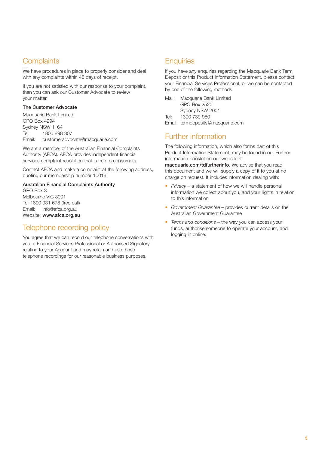## **Complaints**

We have procedures in place to properly consider and deal with any complaints within 45 days of receipt.

If you are not satisfied with our response to your complaint, then you can ask our Customer Advocate to review your matter.

#### The Customer Advocate

Macquarie Bank Limited GPO Box 4294 Sydney NSW 1164 Tel: 1800 898 307 Email: customeradvocate@macquarie.com

We are a member of the Australian Financial Complaints Authority (AFCA). AFCA provides independent financial services complaint resolution that is free to consumers.

Contact AFCA and make a complaint at the following address, quoting our membership number 10019:

#### Australian Financial Complaints Authority

GPO Box 3 Melbourne VIC 3001 Tel: 1800 931 678 (free call) Email: info@afca.org.au Website: www.afca.org.au

## Telephone recording policy

You agree that we can record our telephone conversations with you, a Financial Services Professional or Authorised Signatory relating to your Account and may retain and use those telephone recordings for our reasonable business purposes.

## **Enquiries**

If you have any enquiries regarding the Macquarie Bank Term Deposit or this Product Information Statement, please contact your Financial Services Professional, or we can be contacted by one of the following methods:

| Mail: | Macquarie Bank Limited<br>GPO Box 2520                                         |
|-------|--------------------------------------------------------------------------------|
|       | Sydney NSW 2001                                                                |
| Tel:  | 1300 739 980                                                                   |
|       | $\Gamma$ <sub>r</sub> each to the second contract to $\otimes$ reads a current |

Email: termdeposits@macquarie.com

## Further information

The following information, which also forms part of this Product Information Statement, may be found in our Further information booklet on our website at

[macquarie.com/tdfurtherinfo](www.macquarie.com/tdfurtherinfo). We advise that you read this document and we will supply a copy of it to you at no charge on request. It includes information dealing with:

- *• Privacy* a statement of how we will handle personal information we collect about you, and your rights in relation to this information
- *• Government Guarantee* provides current details on the Australian Government Guarantee
- *• Terms and conditions* the way you can access your funds, authorise someone to operate your account, and logging in online.